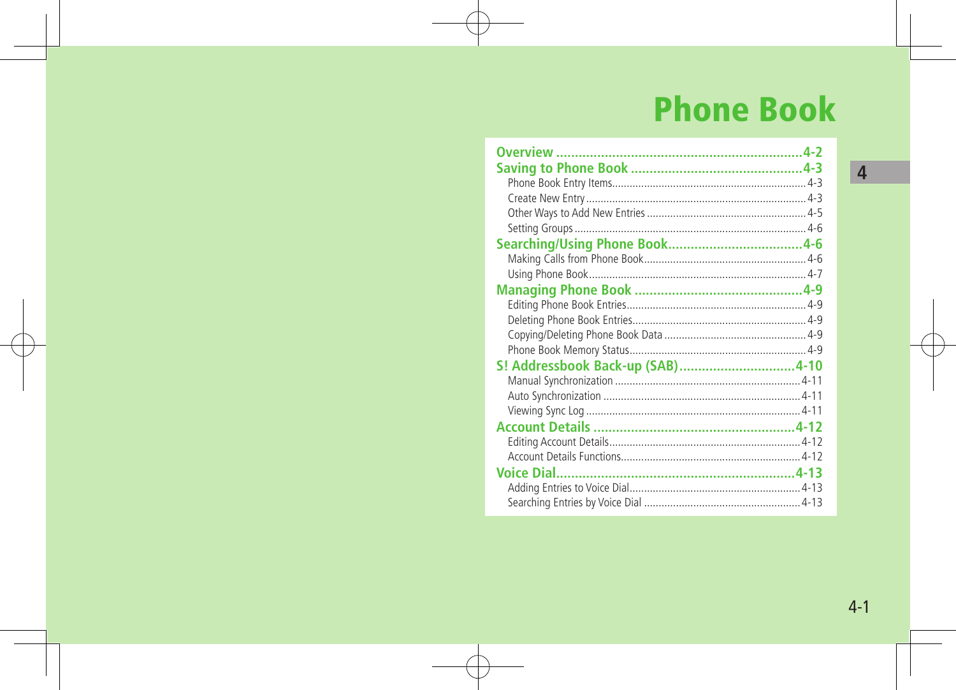# **Phone Book**

| S! Addressbook Back-up (SAB)4-10 |  |
|----------------------------------|--|
|                                  |  |
|                                  |  |
|                                  |  |
|                                  |  |
|                                  |  |
|                                  |  |
|                                  |  |
|                                  |  |
|                                  |  |

 $\sqrt{4}$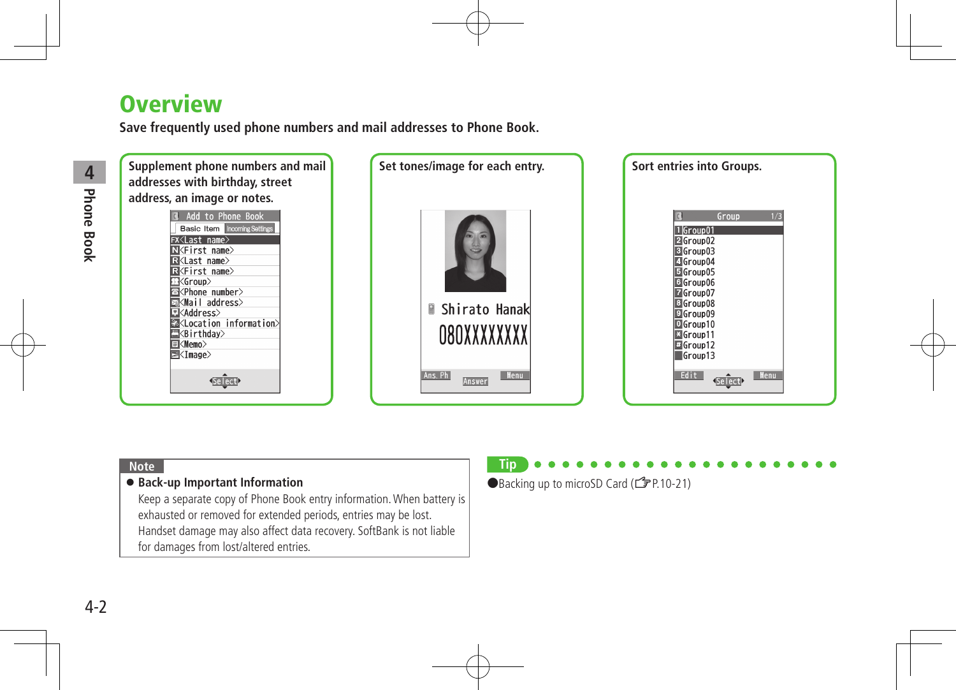# **Overview**

**Save frequently used phone numbers and mail addresses to Phone Book.**



#### **Note**

#### **Back-up Important Information**

Keep a separate copy of Phone Book entry information.When battery is exhausted or removed for extended periods, entries may be lost. Handset damage may also affect data recovery. SoftBank is not liable for damages from lost/altered entries.

## **Tip**

●Backing up to microSD Card (<del>了</del>P.10-21)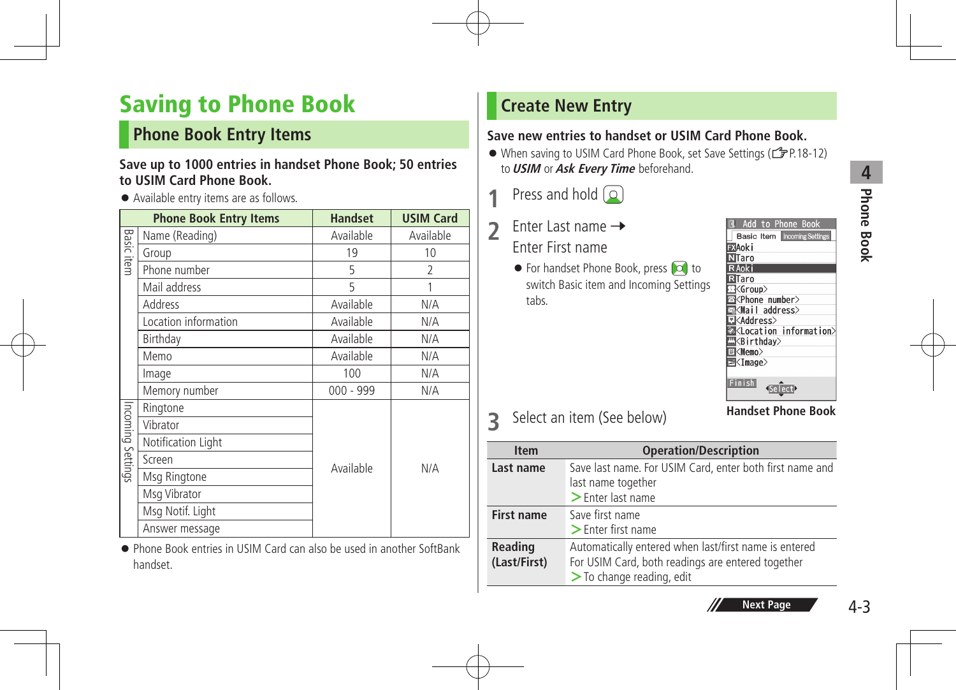# **Phone Book 4** Phone Book

# Saving to Phone Book

## **Phone Book Entry Items**

#### **Save up to 1000 entries in handset Phone Book; 50 entries to USIM Card Phone Book.**

#### Available entry items are as follows.

|                   | <b>Phone Book Entry Items</b> | <b>Handset</b> | <b>USIM Card</b> |
|-------------------|-------------------------------|----------------|------------------|
|                   | Name (Reading)                | Available      | Available        |
| <b>Basic item</b> | Group                         | 19             | 10               |
|                   | Phone number                  | 5              | $\overline{2}$   |
|                   | Mail address                  | 5              |                  |
|                   | Address                       | Available      | N/A              |
|                   | Location information          | Available      | N/A              |
|                   | Birthday                      | Available      | N/A              |
|                   | Memo                          | Available      | N/A              |
|                   | Image                         | 100            | N/A              |
|                   | Memory number                 | $000 - 999$    | N/A              |
|                   | Ringtone                      |                |                  |
|                   | Vibrator                      |                |                  |
| Incoming Settings | Notification Light            |                |                  |
|                   | Screen                        | Available      | N/A              |
|                   | Msg Ringtone                  |                |                  |
|                   | Msg Vibrator                  |                |                  |
|                   | Msg Notif. Light              |                |                  |
|                   | Answer message                |                |                  |

 Phone Book entries in USIM Card can also be used in another SoftBank handset.

## **Create New Entry**

#### **Save new entries to handset or USIM Card Phone Book.**

- When saving to USIM Card Phone Book, set Save Settings (全P.18-12) to**USIM** or**Ask Every Time** beforehand.
- **1** Press and hold  $\begin{pmatrix} 0 \end{pmatrix}$
- 2 Enter Last name  $\rightarrow$ Enter First name
	- $\bullet$  For handset Phone Book, press  $\bullet$  to switch Basic item and Incoming Settings tabs.

| Add to Phone Book                      |  |
|----------------------------------------|--|
| <b>Basic Item Incoming Settings</b>    |  |
| ≣XAoki                                 |  |
| NTaro                                  |  |
| R Aoki                                 |  |
| $\overline{\mathbf{a}}$ Taro           |  |
| $K$ Group $>$                          |  |
| ⊠ <phone number=""></phone>            |  |
| ⊠ <mail address=""></mail>             |  |
| ∃≮Address>                             |  |
| ⊠ <location information=""></location> |  |
| <b>N</b> <birthday></birthday>         |  |
| 国 <memo></memo>                        |  |
| 国 <image/>                             |  |
|                                        |  |
| Finish                                 |  |

**3** Select an item (See below)

**Handset Phone Book**

| <b>Item</b>                    | <b>Operation/Description</b>                                                                                                                 |
|--------------------------------|----------------------------------------------------------------------------------------------------------------------------------------------|
| Last name                      | Save last name. For USIM Card, enter both first name and<br>last name together<br>$\geq$ Enter last name                                     |
| <b>First name</b>              | Save first name<br>$\geq$ Enter first name                                                                                                   |
| <b>Reading</b><br>(Last/First) | Automatically entered when last/first name is entered<br>For USIM Card, both readings are entered together<br>$\geq$ To change reading, edit |

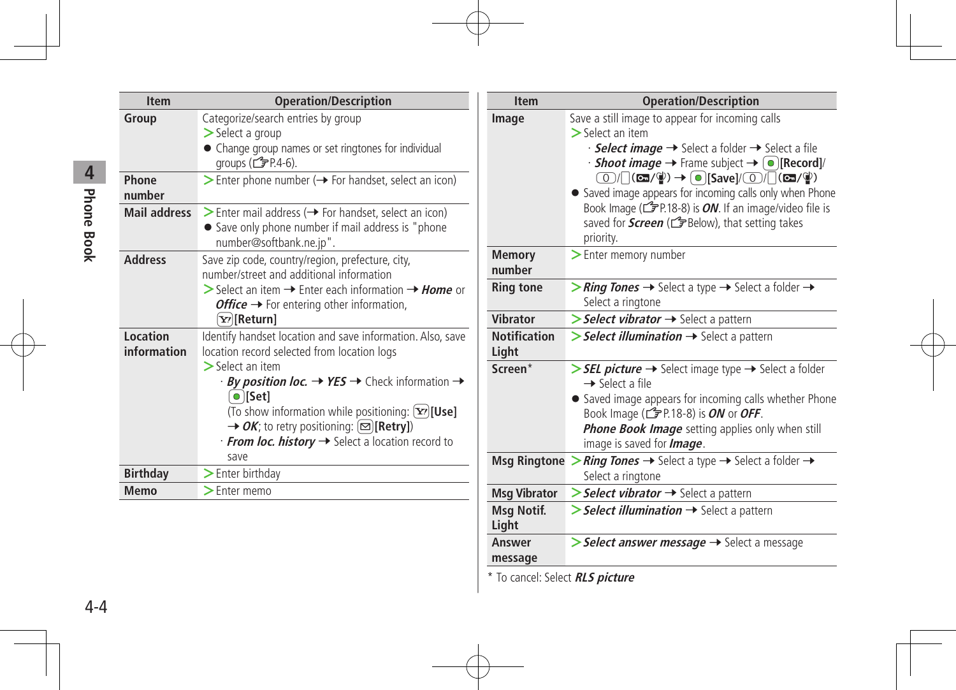| <b>Item</b>             | <b>Operation/Description</b>                                                                                                                                                                                                                                                                                                                                                                                                            |
|-------------------------|-----------------------------------------------------------------------------------------------------------------------------------------------------------------------------------------------------------------------------------------------------------------------------------------------------------------------------------------------------------------------------------------------------------------------------------------|
| Group                   | Categorize/search entries by group<br>$>$ Select a group<br>• Change group names or set ringtones for individual<br>groups $(\mathcal{F}$ P.4-6).                                                                                                                                                                                                                                                                                       |
| Phone<br>number         | $\triangleright$ Enter phone number ( $\rightarrow$ For handset, select an icon)                                                                                                                                                                                                                                                                                                                                                        |
| <b>Mail address</b>     | Senter mail address ( $\rightarrow$ For handset, select an icon)<br>• Save only phone number if mail address is "phone<br>number@softbank.ne.jp".                                                                                                                                                                                                                                                                                       |
| <b>Address</b>          | Save zip code, country/region, prefecture, city,<br>number/street and additional information<br>Select an item $\rightarrow$ Enter each information $\rightarrow$ <i>Home</i> or<br><b><i>Office</i></b> $\rightarrow$ For entering other information,<br>[Y?][Return]                                                                                                                                                                  |
| Location<br>information | Identify handset location and save information. Also, save<br>location record selected from location logs<br>$\sum$ Select an item<br>$\cdot$ By position loc. $\rightarrow$ YES $\rightarrow$ Check information $\rightarrow$<br>$\bullet$ [Set]<br>(To show information while positioning: [Y][Use]<br>$\rightarrow$ OK; to retry positioning: $\boxed{\infty}$ [Retry])<br>· From loc. history → Select a location record to<br>save |
| <b>Birthday</b>         | $\geq$ Enter birthday                                                                                                                                                                                                                                                                                                                                                                                                                   |
| Memo                    | $\geq$ Enter memo                                                                                                                                                                                                                                                                                                                                                                                                                       |

| <b>Item</b>                                                    | <b>Operation/Description</b>                                                                                                                                                                                                                                                                                                                                                                                                                                                                                                                                         |
|----------------------------------------------------------------|----------------------------------------------------------------------------------------------------------------------------------------------------------------------------------------------------------------------------------------------------------------------------------------------------------------------------------------------------------------------------------------------------------------------------------------------------------------------------------------------------------------------------------------------------------------------|
| Image                                                          | Save a still image to appear for incoming calls<br>$\geq$ Select an item<br>· <b>Select image →</b> Select a folder → Select a file<br>$\cdot$ Shoot image $\rightarrow$ Frame subject $\rightarrow$ [ $\bullet$ ][Record]/<br>$\textcircled{1}/\textcircled{1}$ (cm/\\apple ) $\rightarrow$ $\textcircled{1}$ [Save]/\cm/\cm/\apple )<br>• Saved image appears for incoming calls only when Phone<br>Book Image ( $\mathcal{F}$ P.18-8) is <i>ON</i> . If an image/video file is<br>saved for <b>Screen</b> ( $\mathcal{I}$ Below), that setting takes<br>priority. |
| <b>Memory</b><br>number                                        | > Enter memory number                                                                                                                                                                                                                                                                                                                                                                                                                                                                                                                                                |
| <b>Ring tone</b>                                               | > Ring Tones $\rightarrow$ Select a type $\rightarrow$ Select a folder $\rightarrow$<br>Select a ringtone                                                                                                                                                                                                                                                                                                                                                                                                                                                            |
| <b>Vibrator</b>                                                | Select vibrator  ightare Select a pattern                                                                                                                                                                                                                                                                                                                                                                                                                                                                                                                            |
| <b>Notification</b><br>Light                                   | $\triangleright$ Select illumination $\rightarrow$ Select a pattern                                                                                                                                                                                                                                                                                                                                                                                                                                                                                                  |
| Screen*                                                        | > SEL picture -> Select image type -> Select a folder<br>$\rightarrow$ Select a file<br>• Saved image appears for incoming calls whether Phone<br>Book Image ( $\mathbb{C}$ P.18-8) is <i>ON</i> or <i>OFF</i> .<br><b>Phone Book Image</b> setting applies only when still<br>image is saved for <b>Image</b> .                                                                                                                                                                                                                                                     |
| <b>Msg Ringtone</b>                                            | > Ring Tones $\rightarrow$ Select a type $\rightarrow$ Select a folder $\rightarrow$<br>Select a ringtone                                                                                                                                                                                                                                                                                                                                                                                                                                                            |
| <b>Msg Vibrator</b>                                            | Select vibrator  ightharpoonlengtharpoonlengtharpoonlengtharpoonlengtharpoonlengtharpoonlengtharpoonlengtharpoonlengtharpoonlengtharpoonlengtharpoonlengtharpoonlengtharpoonlengtharpoonlengtharpoonlengtharpoonlengtharpoonle                                                                                                                                                                                                                                                                                                                                       |
| <b>Msg Notif.</b><br>Light                                     | Select illumination  ightarrow Select a pattern                                                                                                                                                                                                                                                                                                                                                                                                                                                                                                                      |
| Answer<br>message<br>$*$ To cancel: Solact <b>DI C nicture</b> | > Select answer message → Select a message                                                                                                                                                                                                                                                                                                                                                                                                                                                                                                                           |

To cancel: Select **RLS picture** 

# **Phone Book 4** Phone Book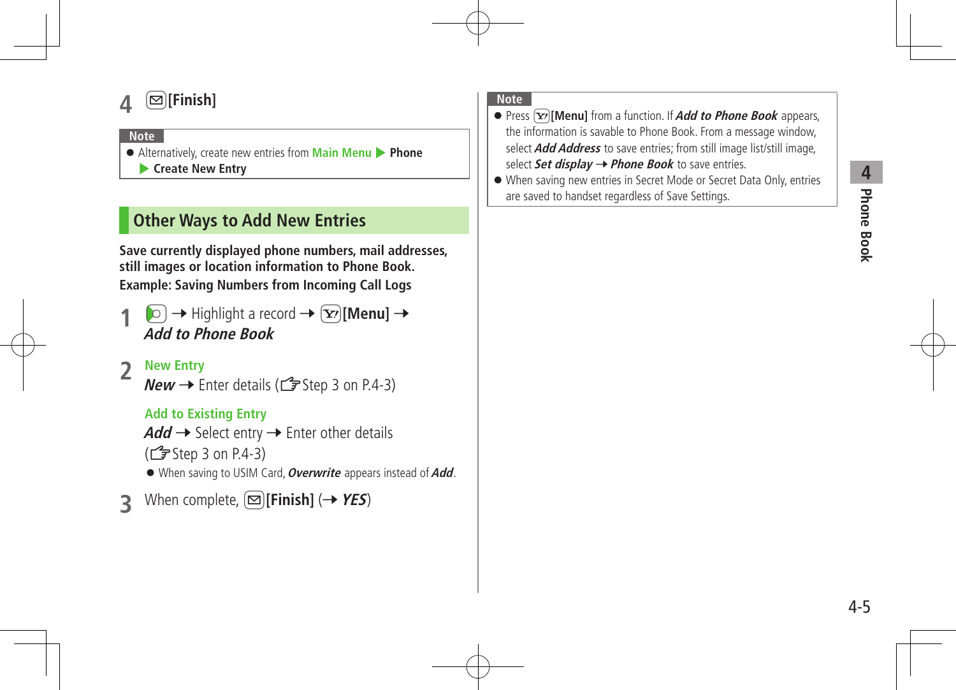# **4** <sup>A</sup>**[Finish]**

#### **Note**

 Alternatively, create new entries from **Main Menu** 4 **Phone** 4 **Create New Entry**

# **Other Ways to Add New Entries**

**Save currently displayed phone numbers, mail addresses, still images or location information to Phone Book. Example: Saving Numbers from Incoming Call Logs**

 $\boxed{\circ}$   $\rightarrow$  Highlight a record  $\rightarrow$   $\boxed{\mathbf{x}}$ **[Menu]**  $\rightarrow$ **Add to Phone Book**

## **2 New Entry**

**New**  $\rightarrow$  Enter details ( $\mathbb{Z}$  Step 3 on P.4-3)

#### **Add to Existing Entry**

 $Add \rightarrow$  Select entry  $\rightarrow$  Enter other details

- $(\mathbb{Z}^{\mathsf{F}})$  Step 3 on P.4-3)
- When saving to USIM Card,**Overwrite** appears instead of**Add**.
- **3 When complete,**  $[\infty]$  **[Finish]** ( $\rightarrow$  **YES**)

#### **Note**

- **•** Press  $\boxed{\mathbf{x}}$  [Menu] from a function. If **Add to Phone Book** appears, the information is savable to Phone Book. From a message window, select**Add Address** to save entries; from still image list/still image, select **Set display → Phone Book** to save entries.
- When saving new entries in Secret Mode or Secret Data Only, entries are saved to handset regardless of Save Settings.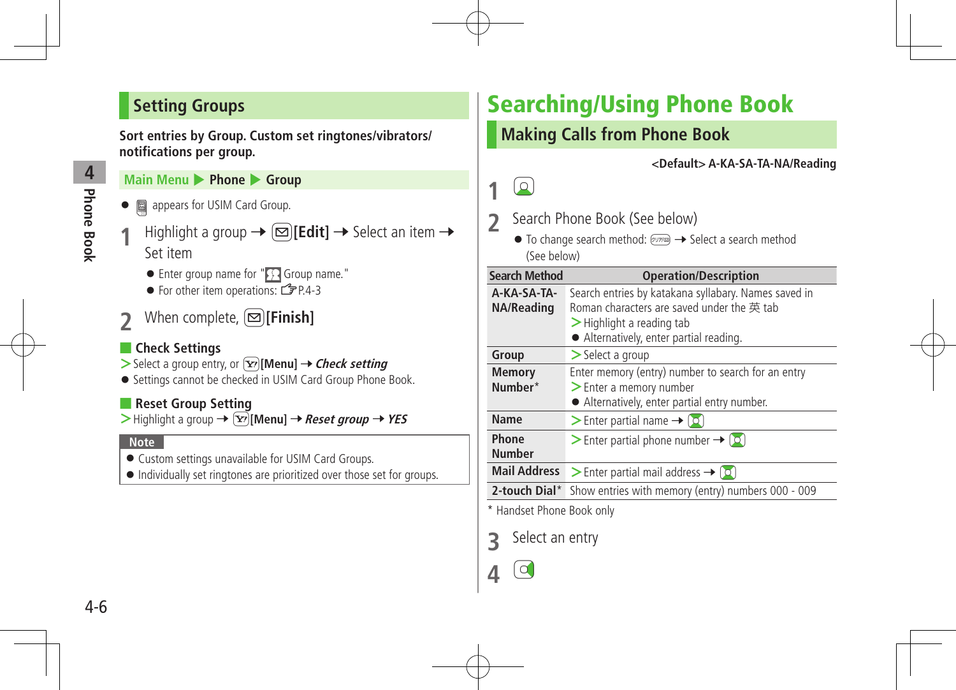# **Setting Groups**

**Sort entries by Group. Custom set ringtones/vibrators/ notifications per group.**

#### **Main Menu ▶ Phone ▶ Group**

- **●** 圖 appears for USIM Card Group.
- **Highlight a group**  $\rightarrow \text{[}E\text{dit]}$  $\rightarrow$  **Select an item**  $\rightarrow$ Set item
	- Enter group name for " Group name."
	- For other item operations:  $\sqrt{P}P4-3$
- **2***When complete,* $[ \nabla$ **[Finish]**

#### ■ **Check Settings**

- $>$  Select a group entry, or  $\boxed{\mathbf{Y}}$  [Menu]  $\rightarrow$  *Check setting*
- **•** Settings cannot be checked in USIM Card Group Phone Book.

#### ■ **Reset Group Setting**

 $\triangleright$  Highlight a group  $\rightarrow \lceil \nightharpoondown \rceil$  [Menu]  $\rightarrow$  *Reset group*  $\rightarrow$  *YES* 

#### **Note**

- Custom settings unavailable for USIM Card Groups.
- $\bullet$  Individually set ringtones are prioritized over those set for groups.

# Searching/Using Phone Book

# **Making Calls from Phone Book**

**<Default> A-KA-SA-TA-NA/Reading**

# **1** Cz

- 2 Search Phone Book (See below)
	- $\bullet$  To change search method:  $\sqrt{y}$   $\rightarrow$  Select a search method (See below)

| <b>Search Method</b>      | <b>Operation/Description</b>                                                                                                                                                 |
|---------------------------|------------------------------------------------------------------------------------------------------------------------------------------------------------------------------|
| A-KA-SA-TA-<br>NA/Reading | Search entries by katakana syllabary. Names saved in<br>Roman characters are saved under the 英 tab<br>$>$ Highlight a reading tab<br>• Alternatively, enter partial reading. |
| Group                     | $\geq$ Select a group                                                                                                                                                        |
| <b>Memory</b><br>Number*  | Enter memory (entry) number to search for an entry<br>> Enter a memory number<br>• Alternatively, enter partial entry number.                                                |
| <b>Name</b>               | > Enter partial name $\rightarrow$ [0]                                                                                                                                       |
| Phone<br><b>Number</b>    | Senter partial phone number $\rightarrow$ ( $\circ$ )                                                                                                                        |
| <b>Mail Address</b>       | > Enter partial mail address $\rightarrow$ [0]                                                                                                                               |
| 2-touch Dial*             | Show entries with memory (entry) numbers 000 - 009                                                                                                                           |

\* Handset Phone Book only

**3** Select an entry

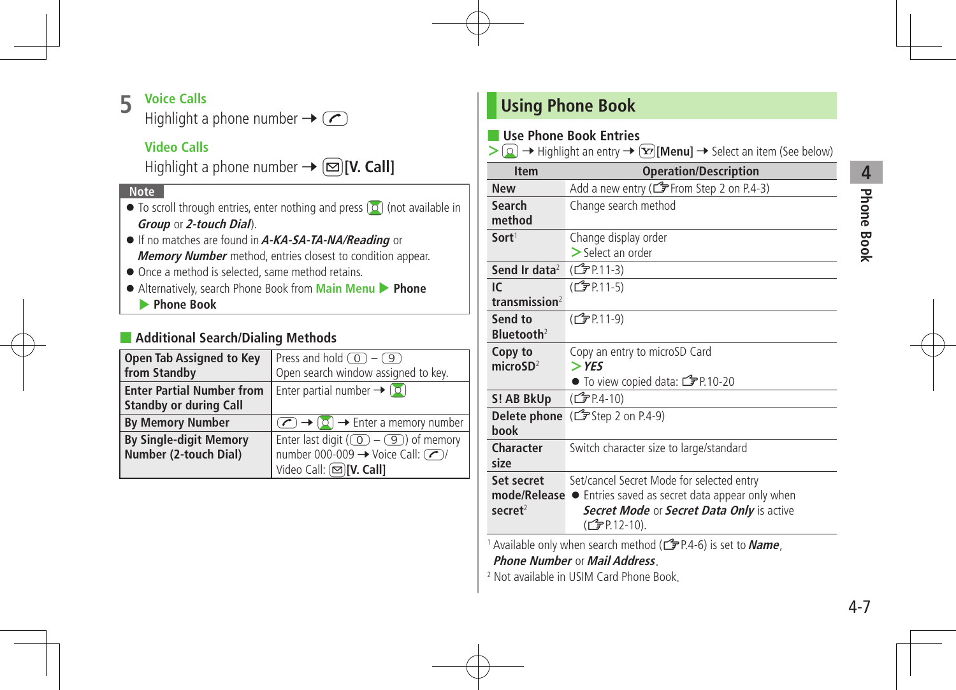# **Phone Book 4**<br>Phone Book

### **5 Voice Calls**

Highlight a phone number  $\rightarrow \infty$ 

#### **Video Calls**

Highlight a phone number  $\rightarrow \infty$  [V. Call]

#### **Note**

- $\bullet$  To scroll through entries, enter nothing and press  $\lceil \circ \circ \rceil$  (not available in **Group** or **2-touch Dial**).
- If no matches are found in**A-KA-SA-TA-NA/Reading** or **Memory Number** method, entries closest to condition appear.
- $\bullet$  Once a method is selected, same method retains.
- Alternatively, search Phone Book from **Main Menu** 4 **Phone**
	- 4 **Phone Book**

#### ■ **Additional Search/Dialing Methods**

| <b>Open Tab Assigned to Key</b>  | Press and hold $\circled{0}$ - $\circled{9}$                                                             |
|----------------------------------|----------------------------------------------------------------------------------------------------------|
| from Standby                     | Open search window assigned to key.                                                                      |
| <b>Enter Partial Number from</b> | Enter partial number $\rightarrow$ [0]                                                                   |
| <b>Standby or during Call</b>    |                                                                                                          |
| <b>By Memory Number</b>          | $\left(\bigcap_{i=1}^{\infty}$ $\rightarrow$ $\left[\bigcirc\right]$ $\rightarrow$ Enter a memory number |
| <b>By Single-digit Memory</b>    | Enter last digit ( $\circled{)}$ – $\circled{9}$ ) of memory                                             |
| Number (2-touch Dial)            | number 000-009 $\rightarrow$ Voice Call: (2)                                                             |
|                                  | Video Call: (図)[V. Call]                                                                                 |

# **Using Phone Book**

#### ■ **Use Phone Book Entries**

 $\geq$   $\circ$   $\rightarrow$  Highlight an entry  $\rightarrow$   $\circ$ **[Menu]**  $\rightarrow$  Select an item (See below)

| <b>Item</b>            | <b>Operation/Description</b>                        |
|------------------------|-----------------------------------------------------|
| <b>New</b>             | Add a new entry (CF From Step 2 on P.4-3)           |
| Search                 | Change search method                                |
| method                 |                                                     |
| Sort <sup>1</sup>      | Change display order                                |
|                        | $>$ Select an order                                 |
| Send Ir data $2$       | (C <sub>J</sub> PP 11-3)                            |
| IC.                    | (CTP.11-5)                                          |
| transmission $2$       |                                                     |
| Send to                | (C <sub>J</sub> PP 11-9)                            |
| Bluetooth <sup>2</sup> |                                                     |
| Copy to                | Copy an entry to microSD Card                       |
| microSD <sup>2</sup>   | $>$ YES                                             |
|                        | $\bullet$ To view copied data: $\mathbb{Z}$ P.10-20 |
| S! AB BkUp             | (CTP.4-10)                                          |
|                        | <b>Delete phone</b> $(\mathbf{F}$ Step 2 on P.4-9)  |
| <b>hook</b>            |                                                     |
| Character              | Switch character size to large/standard             |
| size                   |                                                     |
| Set secret             | Set/cancel Secret Mode for selected entry           |
| mode/Release ●         | Entries saved as secret data appear only when       |
| $s$ ecret $2$          | Secret Mode or Secret Data Only is active           |
|                        | (CJPP.12-10).                                       |
|                        |                                                     |

1 Available only when search method ( $\mathcal{F}$ P.4-6) is set to **Name**,

**Phone Number** or **Mail Address**.

<sup>2</sup> Not available in USIM Card Phone Book.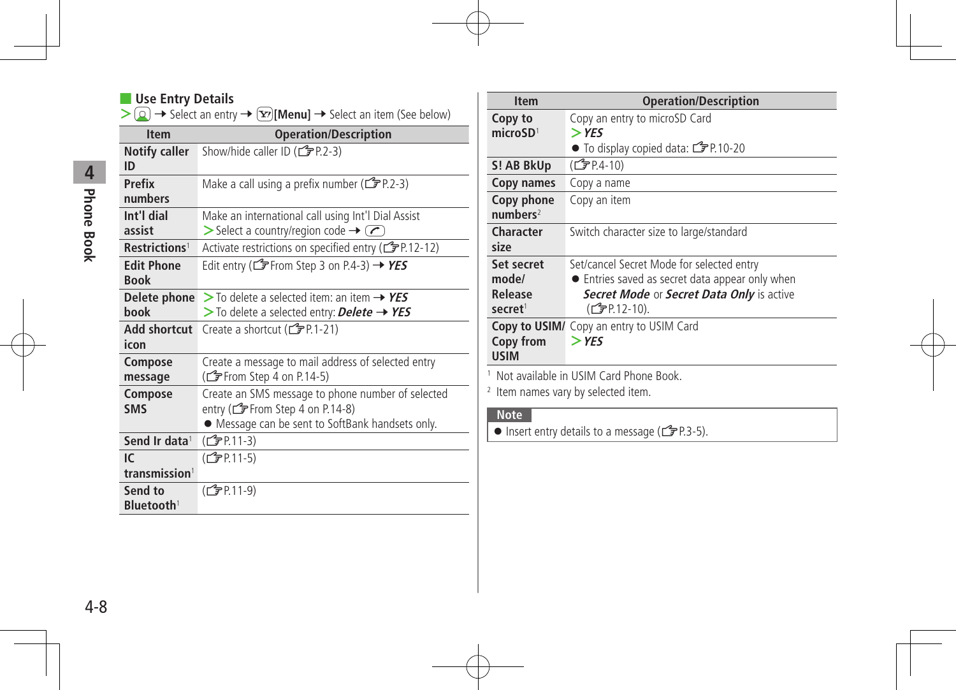#### ■ **Use Entry Details**

| > 2 → Select an entry $\rightarrow$ $\boxed{\mathbf{x}}$ [Menu] $\rightarrow$ Select an item (See below) |  |
|----------------------------------------------------------------------------------------------------------|--|
|----------------------------------------------------------------------------------------------------------|--|

| <b>Item</b>                       | <b>Operation/Description</b>                                                                                                              |
|-----------------------------------|-------------------------------------------------------------------------------------------------------------------------------------------|
| <b>Notify caller</b><br>ID        | Show/hide caller ID ( $\mathbb{C}$ P.2-3)                                                                                                 |
| <b>Prefix</b><br>numbers          | Make a call using a prefix number ( $\mathcal{F}$ P.2-3)                                                                                  |
| Int'l dial<br>assist              | Make an international call using Int'l Dial Assist<br>$\triangleright$ Select a country/region code $\rightarrow \infty$                  |
| Restrictions <sup>1</sup>         | Activate restrictions on specified entry ( $\mathbb{F}$ P.12-12)                                                                          |
| <b>Edit Phone</b>                 | Edit entry (CF From Step 3 on P.4-3) $\rightarrow$ YES                                                                                    |
| <b>Book</b>                       |                                                                                                                                           |
| Delete phone                      | $>$ To delete a selected item: an item $\rightarrow$ YES                                                                                  |
| <b>hook</b>                       | $>$ To delete a selected entry: Delete $\rightarrow$ YES                                                                                  |
| Add shortcut                      | Create a shortcut (子P.1-21)                                                                                                               |
| icon                              |                                                                                                                                           |
| Compose<br>message                | Create a message to mail address of selected entry<br>(CF From Step 4 on P.14-5)                                                          |
| Compose<br><b>SMS</b>             | Create an SMS message to phone number of selected<br>entry (CF From Step 4 on P.14-8)<br>• Message can be sent to SoftBank handsets only. |
| Send Ir data <sup>1</sup>         | (C <sub>J</sub> PP.11-3)                                                                                                                  |
| IC.                               | (C <sub>J</sub> P.11-5)                                                                                                                   |
| transmission <sup>1</sup>         |                                                                                                                                           |
| Send to<br>Bluetooth <sup>1</sup> | (C <sub>J</sub> P.11-9)                                                                                                                   |

| <b>Item</b>                                           | <b>Operation/Description</b>                                                                                                                              |
|-------------------------------------------------------|-----------------------------------------------------------------------------------------------------------------------------------------------------------|
| Copy to<br>microSD <sup>1</sup>                       | Copy an entry to microSD Card<br>$>$ YES                                                                                                                  |
|                                                       | ● To display copied data: ry P.10-20                                                                                                                      |
| S! AB BkUp                                            | $(\mathbb{Z}$ P.4-10)                                                                                                                                     |
| Copy names                                            | Copy a name                                                                                                                                               |
| Copy phone<br>numbers <sup>2</sup>                    | Copy an item                                                                                                                                              |
| Character<br>size                                     | Switch character size to large/standard                                                                                                                   |
| Set secret<br>mode/<br>Release<br>secret <sup>1</sup> | Set/cancel Secret Mode for selected entry<br>• Entries saved as secret data appear only when<br>Secret Mode or Secret Data Only is active<br>(CTP.12-10). |
| Copy from<br><b>USIM</b>                              | Copy to USIM/ Copy an entry to USIM Card<br>$>$ YFS                                                                                                       |

<sup>1</sup> Not available in USIM Card Phone Book.

<sup>2</sup> Item names vary by selected item.

#### **Note**

 $\bullet$  Insert entry details to a message ( $\bullet$  P.3-5).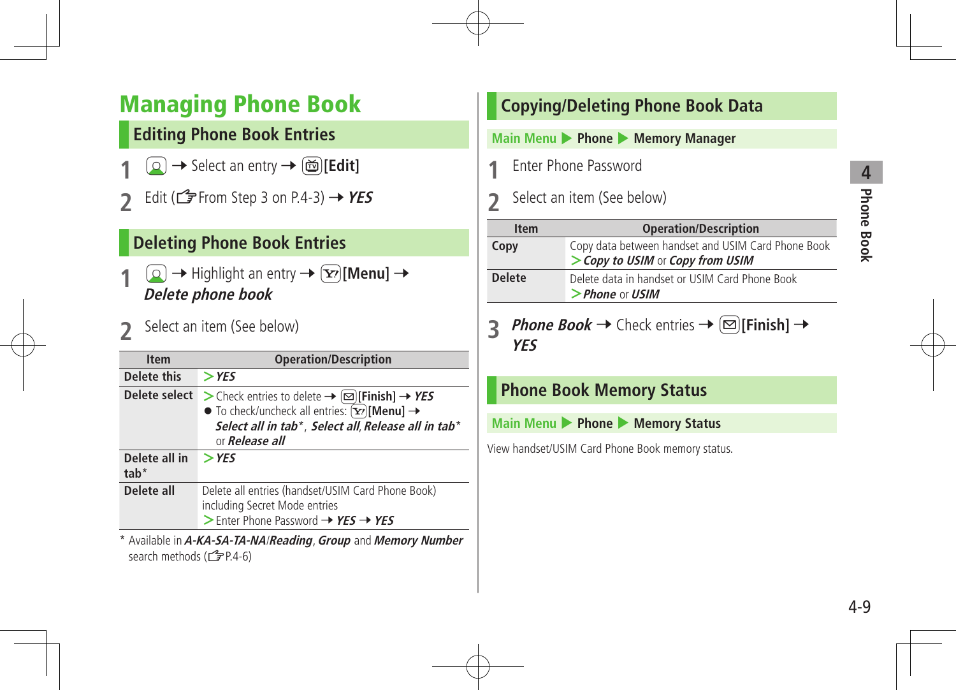# Managing Phone Book

# **Editing Phone Book Entries**

- **1** → Select an entry →  $\text{ }$   $\text{ }$   $\text{ }$  [Edit]
- **2** Edit ( $\mathbb{Z}$ From Step 3 on P.4-3)  $\rightarrow$  **YES**

# **Deleting Phone Book Entries**

- $\boxed{\circ}$   $\rightarrow$  Highlight an entry  $\rightarrow$   $\boxed{\circ}$  [Menu]  $\rightarrow$ **Delete phone book**
- **2** Select an item (See below)

| <b>Item</b>             | <b>Operation/Description</b>                                                                                                                                                                                                  |
|-------------------------|-------------------------------------------------------------------------------------------------------------------------------------------------------------------------------------------------------------------------------|
| Delete this             | $>$ YES                                                                                                                                                                                                                       |
| Delete select           | > Check entries to delete → $\textcircled{=}$ [Finish] → YES<br>$\bullet$ To check/uncheck all entries: $\overline{[Y]}$ [Menu] $\rightarrow$<br>Select all in tab*, Select all, Release all in tab*<br>or <b>Release all</b> |
| Delete all in<br>$tab*$ | $>$ YES                                                                                                                                                                                                                       |
| Delete all              | Delete all entries (handset/USIM Card Phone Book)<br>including Secret Mode entries<br>$>$ Enter Phone Password $\rightarrow$ YES $\rightarrow$ YES                                                                            |
|                         |                                                                                                                                                                                                                               |

\* Available in**A-KA-SA-TA-NA**/**Reading**,**Group** and **Memory Number** search methods (CPP.4-6)

|                                              |               | <b>Copying/Deleting Phone Book Data</b>                                                |  |
|----------------------------------------------|---------------|----------------------------------------------------------------------------------------|--|
| Main Menu > Phone > Memory Manager           |               |                                                                                        |  |
| Enter Phone Password                         |               |                                                                                        |  |
| Select an item (See below)<br>$\overline{2}$ |               |                                                                                        |  |
|                                              | <b>Item</b>   | <b>Operation/Description</b>                                                           |  |
| Copy                                         |               | Copy data between handset and USIM Card Phone Book<br>> Copy to USIM or Copy from USIM |  |
|                                              |               |                                                                                        |  |
|                                              | <b>Delete</b> | Delete data in handset or USIM Card Phone Book<br>$>$ Phone or USIM                    |  |
|                                              | <b>YES</b>    | <i>Phone Book</i> → Check entries → $\infty$ [Finish] →                                |  |
|                                              |               | <b>Phone Book Memory Status</b>                                                        |  |
|                                              |               | Main Menu > Phone > Memory Status                                                      |  |
|                                              |               | View handset/USIM Card Phone Book memory status.                                       |  |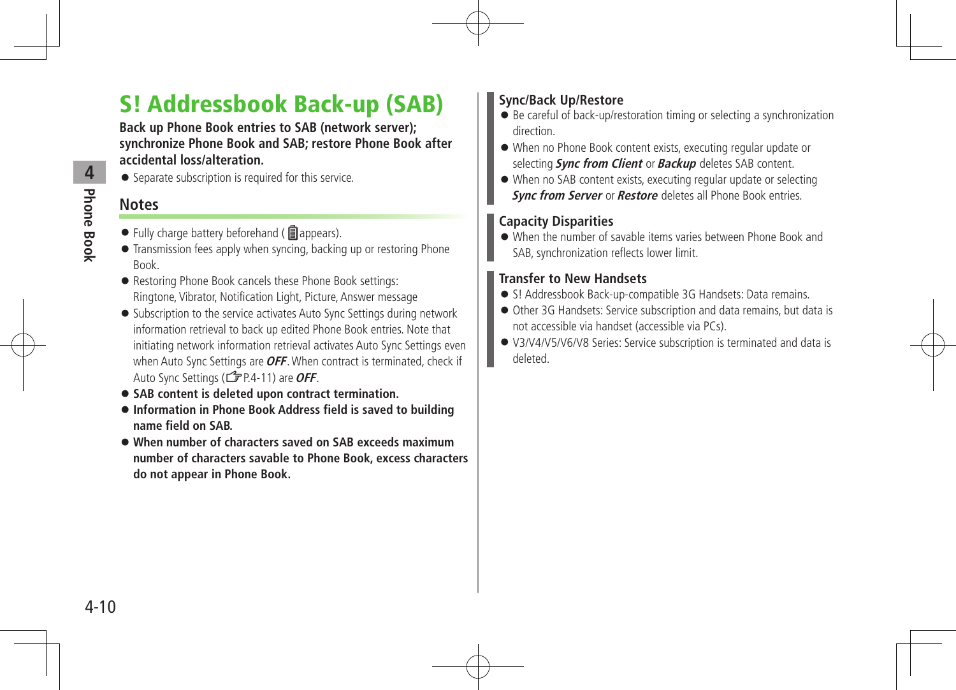# S! Addressbook Back-up (SAB)

**Back up Phone Book entries to SAB (network server); synchronize Phone Book and SAB; restore Phone Book after accidental loss/alteration.**

• Separate subscription is required for this service.

## **Notes**

- $\bullet$  Fully charge battery beforehand ( $\blacksquare$  appears).
- Transmission fees apply when syncing, backing up or restoring Phone Book.
- Restoring Phone Book cancels these Phone Book settings: Ringtone, Vibrator, Notification Light, Picture, Answer message
- Subscription to the service activates Auto Sync Settings during network information retrieval to back up edited Phone Book entries. Note that initiating network information retrieval activates Auto Sync Settings even when Auto Sync Settings are **OFF**. When contract is terminated, check if Auto Sync Settings (ZP.4-11) are**OFF**.
- **SAB content is deleted upon contract termination.**
- **Information in Phone Book Address field is saved to building name field on SAB.**
- **When number of characters saved on SAB exceeds maximum number of characters savable to Phone Book, excess characters do not appear in Phone Book.**

### **Sync/Back Up/Restore**

- Be careful of back-up/restoration timing or selecting a synchronization direction.
- When no Phone Book content exists, executing regular update or selecting **Sync from Client** or **Backup** deletes SAB content.
- When no SAB content exists, executing regular update or selecting **Sync from Server** or **Restore** deletes all Phone Book entries.

#### **Capacity Disparities**

 When the number of savable items varies between Phone Book and SAB, synchronization reflects lower limit.

### **Transfer to New Handsets**

- S! Addressbook Back-up-compatible 3G Handsets: Data remains.
- Other 3G Handsets: Service subscription and data remains, but data is not accessible via handset (accessible via PCs).
- V3/V4/V5/V6/V8 Series: Service subscription is terminated and data is deleted.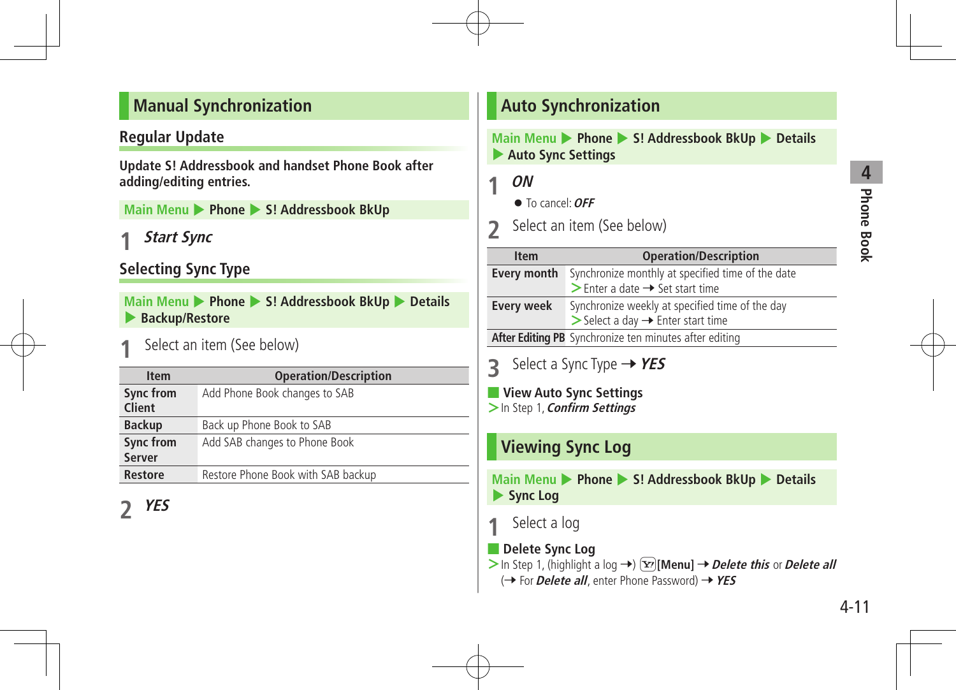### **Manual Synchronization**

### **Regular Update**

**Update S! Addressbook and handset Phone Book after adding/editing entries.**

**Main Menu** 4 **Phone** 4 **S! Addressbook BkUp** 

**1 Start Sync**

### **Selecting Sync Type**

**Main Menu > Phone > S! Addressbook BkUp > Details** 4 **Backup/Restore** 

**Select an item (See below)** 

| <b>Item</b>                | <b>Operation/Description</b>       |
|----------------------------|------------------------------------|
| Sync from<br><b>Client</b> | Add Phone Book changes to SAB      |
| <b>Backup</b>              | Back up Phone Book to SAB          |
| Sync from                  | Add SAB changes to Phone Book      |
| <b>Server</b>              |                                    |
| <b>Restore</b>             | Restore Phone Book with SAB backup |

**2 YES**

### **Auto Synchronization**

**Main Menu > Phone > S! Addressbook BkUp > Details** 4 **Auto Sync Settings**

**1 ON**

To cancel:**OFF**

**2** Select an item (See below)

| <b>Item</b>        | <b>Operation/Description</b>                                                                                    |
|--------------------|-----------------------------------------------------------------------------------------------------------------|
| <b>Every month</b> | Synchronize monthly at specified time of the date<br>$\triangleright$ Enter a date $\rightarrow$ Set start time |
|                    |                                                                                                                 |
| <b>Every week</b>  | Synchronize weekly at specified time of the day<br>$\triangleright$ Select a day $\rightarrow$ Enter start time |
|                    | After Editing PB Synchronize ten minutes after editing                                                          |

- **3** Select a Sync Type → YES
- **View Auto Sync Settings >**In Step 1,**Confirm Settings**

# **Viewing Sync Log**

**Main Menu** 4 **Phone** 4 **S! Addressbook BkUp** 4 **Details** 4 **Sync Log**

### **Select a log**

■ **Delete Sync Log**

> In Step 1, (highlight a log →)  $\boxed{\mathbf{x}}$  [Menu] → Delete this or Delete all (→ For *Delete all*, enter Phone Password) → YES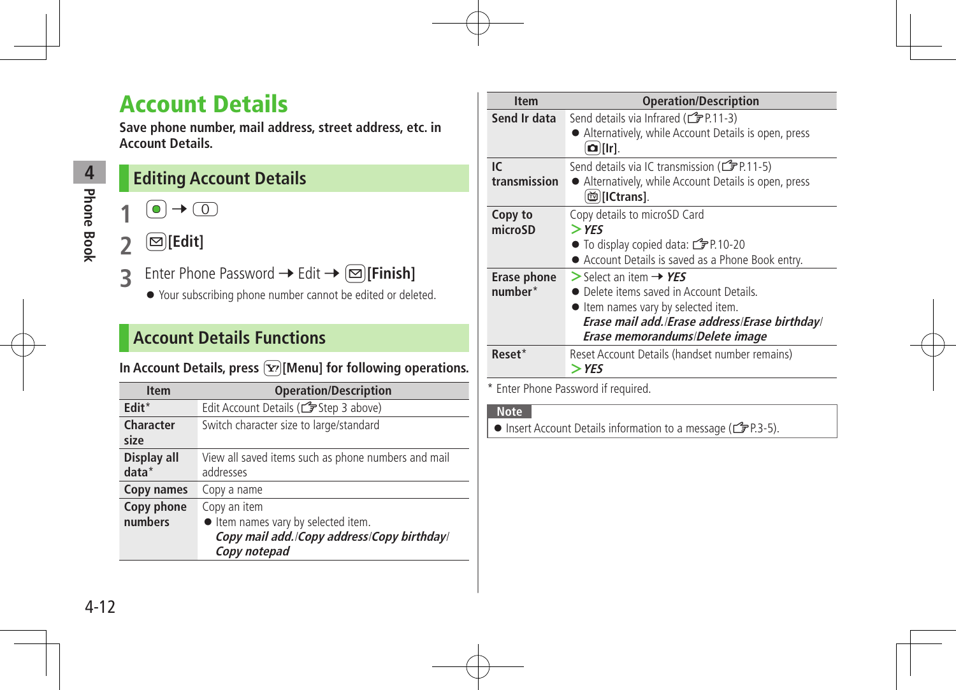# Account Details

**Save phone number, mail address, street address, etc. in Account Details.**

**Editing Account Details**

# $\bullet$   $\rightarrow$   $\circledcirc$

 $\overline{[2]}$  [Edit]

**Phone Book 4**<br>Phone Book

- **3** Enter Phone Password → Edit → **<b>I**[Finish]
	- Your subscribing phone number cannot be edited or deleted.

# **Account Details Functions**

#### In Account Details, press  $\boxed{\mathbf{\Sigma}}$  [Menu] for following operations.

| <b>Item</b>            | <b>Operation/Description</b>                                                                                    |
|------------------------|-----------------------------------------------------------------------------------------------------------------|
| $F$ dit <sup>*</sup>   | Edit Account Details (Cr Step 3 above)                                                                          |
| Character<br>size      | Switch character size to large/standard                                                                         |
| Display all<br>$data*$ | View all saved items such as phone numbers and mail<br>addresses                                                |
| Copy names             | Copy a name                                                                                                     |
| Copy phone<br>numbers  | Copy an item<br>ltem names vary by selected item.<br>Copy mail add./Copy address/Copy birthday/<br>Copy notepad |

| <b>Item</b>            | <b>Operation/Description</b>                                                                                                                                                                               |
|------------------------|------------------------------------------------------------------------------------------------------------------------------------------------------------------------------------------------------------|
| Send Ir data           | Send details via Infrared (CFP.11-3)<br>Alternatively, while Account Details is open, press<br>$\Omega$ ][Ir].                                                                                             |
| IC<br>transmission     | Send details via IC transmission ( <a>[</a> 2P.11-5)<br>• Alternatively, while Account Details is open, press<br><b>茴</b> [ICtrans].                                                                       |
| Copy to<br>microSD     | Copy details to microSD Card<br>$>$ YES<br>● To display copied data: CPP.10-20<br>Account Details is saved as a Phone Book entry.                                                                          |
| Erase phone<br>number* | $>$ Select an item $\rightarrow$ YES<br>• Delete items saved in Account Details.<br>• Item names vary by selected item.<br>Erase mail add./Erase address/Erase birthday/<br>Erase memorandums/Delete image |
| Reset*                 | Reset Account Details (handset number remains)<br>> YES                                                                                                                                                    |

\* Enter Phone Password if required.

#### **Note**

Insert Account Details information to a message ( $\mathcal{F}$ P.3-5).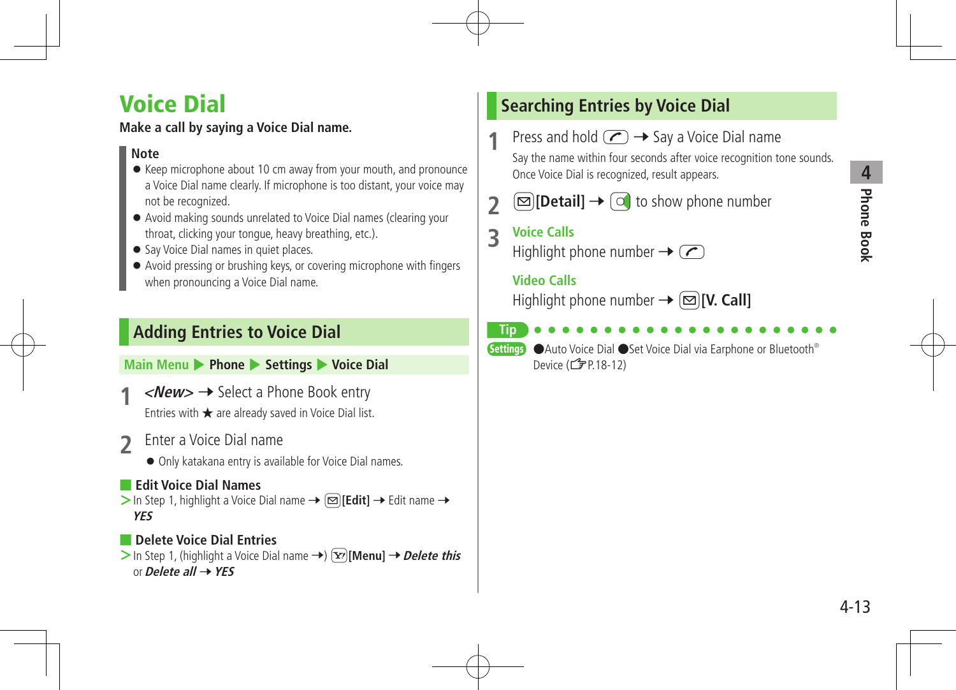# **4 Phone Book Phone Book**

# Voice Dial

### **Make a call by saying a Voice Dial name.**

#### **Note**

- Keep microphone about 10 cm away from your mouth, and pronounce a Voice Dial name clearly. If microphone is too distant, your voice may not be recognized.
- Avoid making sounds unrelated to Voice Dial names (clearing your throat, clicking your tongue, heavy breathing, etc.).
- Say Voice Dial names in quiet places.
- Avoid pressing or brushing keys, or covering microphone with fingers when pronouncing a Voice Dial name.

# **Adding Entries to Voice Dial**

**Main Menu** 4 **Phone** 4 **Settings** 4 **Voice Dial**

- $\langle$ **New> →** Select a Phone Book entry Entries with ★ are already saved in Voice Dial list.
- **2** Enter a Voice Dial name
	- Only katakana entry is available for Voice Dial names.

#### ■ **Edit Voice Dial Names**

 $>$  In Step 1, highlight a Voice Dial name  $\rightarrow \Box$  **[Edit]**  $\rightarrow$  Edit name  $\rightarrow$ **YES**

#### ■ **Delete Voice Dial Entries**  $>$  In Step 1, (highlight a Voice Dial name  $\rightarrow$ )  $\boxed{\mathbf{x}}$  [Menu]  $\rightarrow$  *Delete this* or**Delete all** 7**YES**

# **Searching Entries by Voice Dial**

**Press and hold**  $\left(\sqrt{7}\right) \rightarrow$  **Say a Voice Dial name** Say the name within four seconds after voice recognition tone sounds. Once Voice Dial is recognized, result appears.

**2**  $\Box$  [Detail]  $\rightarrow$   $\Box$  to show phone number

**3 Voice Calls**

Highlight phone number  $\rightarrow \infty$ 

#### **Video Calls**

Highlight phone number  $\rightarrow \infty$  [V. Call]

**Tip**

**Settings** ●Auto Voice Dial ●Set Voice Dial via Earphone or Bluetooth<sup>®</sup> Device (**3** P.18-12)